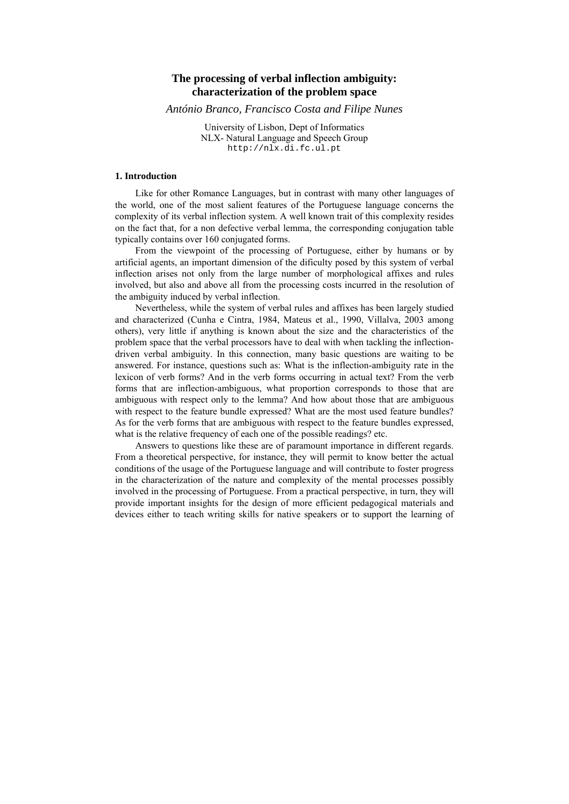# **The processing of verbal inflection ambiguity: characterization of the problem space**

*António Branco, Francisco Costa and Filipe Nunes*

University of Lisbon, Dept of Informatics NLX- Natural Language and Speech Group http://nlx.di.fc.ul.pt

### **1. Introduction**

Like for other Romance Languages, but in contrast with many other languages of the world, one of the most salient features of the Portuguese language concerns the complexity of its verbal inflection system. A well known trait of this complexity resides on the fact that, for a non defective verbal lemma, the corresponding conjugation table typically contains over 160 conjugated forms.

From the viewpoint of the processing of Portuguese, either by humans or by artificial agents, an important dimension of the dificulty posed by this system of verbal inflection arises not only from the large number of morphological affixes and rules involved, but also and above all from the processing costs incurred in the resolution of the ambiguity induced by verbal inflection.

Nevertheless, while the system of verbal rules and affixes has been largely studied and characterized (Cunha e Cintra, 1984, Mateus et al., 1990, Villalva, 2003 among others), very little if anything is known about the size and the characteristics of the problem space that the verbal processors have to deal with when tackling the inflectiondriven verbal ambiguity. In this connection, many basic questions are waiting to be answered. For instance, questions such as: What is the inflection-ambiguity rate in the lexicon of verb forms? And in the verb forms occurring in actual text? From the verb forms that are inflection-ambiguous, what proportion corresponds to those that are ambiguous with respect only to the lemma? And how about those that are ambiguous with respect to the feature bundle expressed? What are the most used feature bundles? As for the verb forms that are ambiguous with respect to the feature bundles expressed, what is the relative frequency of each one of the possible readings? etc.

Answers to questions like these are of paramount importance in different regards. From a theoretical perspective, for instance, they will permit to know better the actual conditions of the usage of the Portuguese language and will contribute to foster progress in the characterization of the nature and complexity of the mental processes possibly involved in the processing of Portuguese. From a practical perspective, in turn, they will provide important insights for the design of more efficient pedagogical materials and devices either to teach writing skills for native speakers or to support the learning of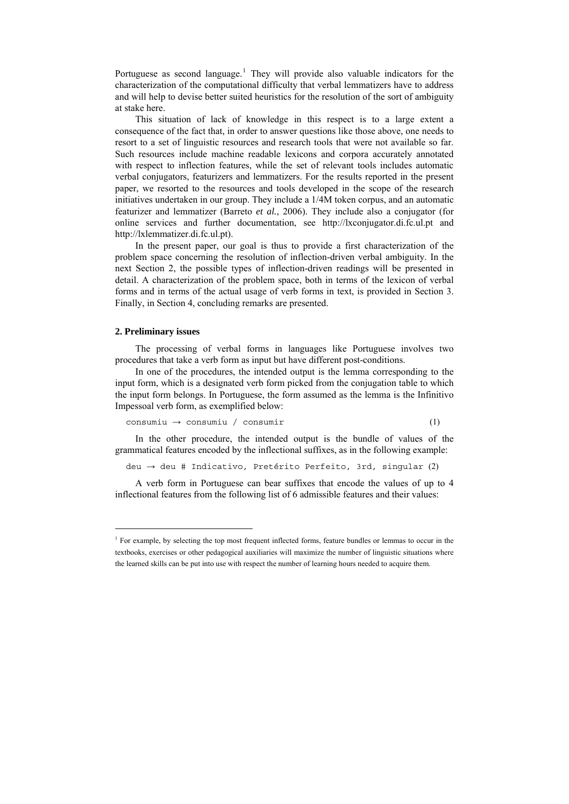Portuguese as second language.<sup>[1](#page-1-0)</sup> They will provide also valuable indicators for the characterization of the computational difficulty that verbal lemmatizers have to address and will help to devise better suited heuristics for the resolution of the sort of ambiguity at stake here.

This situation of lack of knowledge in this respect is to a large extent a consequence of the fact that, in order to answer questions like those above, one needs to resort to a set of linguistic resources and research tools that were not available so far. Such resources include machine readable lexicons and corpora accurately annotated with respect to inflection features, while the set of relevant tools includes automatic verbal conjugators, featurizers and lemmatizers. For the results reported in the present paper, we resorted to the resources and tools developed in the scope of the research initiatives undertaken in our group. They include a 1/4M token corpus, and an automatic featurizer and lemmatizer (Barreto *et al.*, 2006). They include also a conjugator (for online services and further documentation, see http://lxconjugator.di.fc.ul.pt and http://lxlemmatizer.di.fc.ul.pt).

In the present paper, our goal is thus to provide a first characterization of the problem space concerning the resolution of inflection-driven verbal ambiguity. In the next Section 2, the possible types of inflection-driven readings will be presented in detail. A characterization of the problem space, both in terms of the lexicon of verbal forms and in terms of the actual usage of verb forms in text, is provided in Section 3. Finally, in Section 4, concluding remarks are presented.

#### **2. Preliminary issues**

 $\overline{a}$ 

The processing of verbal forms in languages like Portuguese involves two procedures that take a verb form as input but have different post-conditions.

In one of the procedures, the intended output is the lemma corresponding to the input form, which is a designated verb form picked from the conjugation table to which the input form belongs. In Portuguese, the form assumed as the lemma is the Infinitivo Impessoal verb form, as exemplified below:

$$
consumiu \rightarrow consumiu / consumir
$$
 (1)

In the other procedure, the intended output is the bundle of values of the grammatical features encoded by the inflectional suffixes, as in the following example:

deu → deu # Indicativo, Pretérito Perfeito, 3rd, singular (2)

A verb form in Portuguese can bear suffixes that encode the values of up to 4 inflectional features from the following list of 6 admissible features and their values:

<span id="page-1-0"></span><sup>&</sup>lt;sup>1</sup> For example, by selecting the top most frequent inflected forms, feature bundles or lemmas to occur in the textbooks, exercises or other pedagogical auxiliaries will maximize the number of linguistic situations where the learned skills can be put into use with respect the number of learning hours needed to acquire them.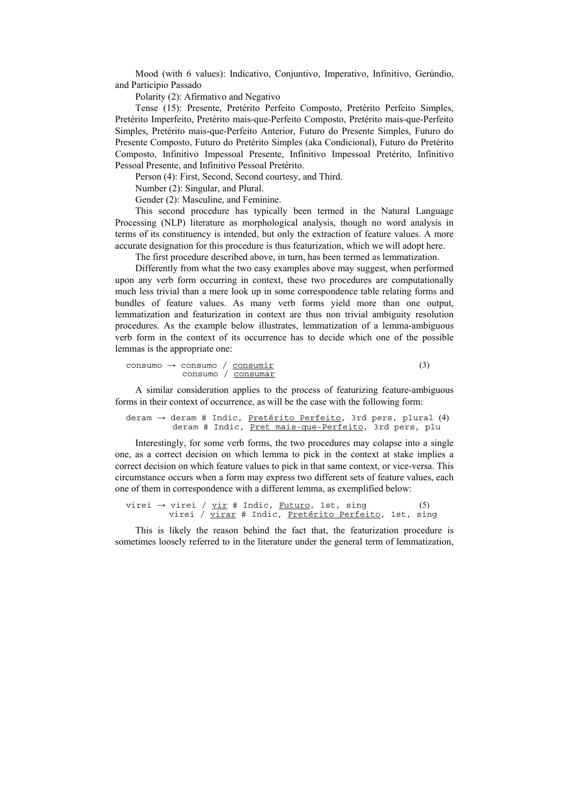Mood (with 6 values): Indicativo, Conjuntivo, Imperativo, Infinitivo, Gerúndio, and Particípio Passado

Polarity (2): Afirmativo and Negativo

Tense (15): Presente, Pretérito Perfeito Composto, Pretérito Perfeito Simples, Pretérito Imperfeito, Pretérito mais-que-Perfeito Composto, Pretérito mais-que-Perfeito Simples, Pretérito mais-que-Perfeito Anterior, Futuro do Presente Simples, Futuro do Presente Composto, Futuro do Pretérito Simples (aka Condicional), Futuro do Pretérito Composto, Infinitivo Impessoal Presente, Infinitivo Impessoal Pretérito, Infinitivo Pessoal Presente, and Infinitivo Pessoal Pretérito.

Person (4): First, Second, Second courtesy, and Third.

Number (2): Singular, and Plural.

Gender (2): Masculine, and Feminine.

This second procedure has typically been termed in the Natural Language Processing (NLP) literature as morphological analysis, though no word analysis in terms of its constituency is intended, but only the extraction of feature values. A more accurate designation for this procedure is thus featurization, which we will adopt here.

The first procedure described above, in turn, has been termed as lemmatization.

Differently from what the two easy examples above may suggest, when performed upon any verb form occurring in context, these two procedures are computationally much less trivial than a mere look up in some correspondence table relating forms and bundles of feature values. As many verb forms yield more than one output, lemmatization and featurization in context are thus non trivial ambiguity resolution procedures. As the example below illustrates, lemmatization of a lemma-ambiguous verb form in the context of its occurrence has to decide which one of the possible lemmas is the appropriate one:

$$
\begin{array}{l}\n\text{cosumo} \rightarrow \text{cosumo} / \text{ consumir} \\
\text{cosumo} / \text{ consumar\n(3)
$$

A similar consideration applies to the process of featurizing feature-ambiguous forms in their context of occurrence, as will be the case with the following form:

deram → deram # Indic, Pretérito Perfeito, 3rd pers, plural (4) deram # Indic, Pret mais-que-Perfeito, 3rd pers, plu

Interestingly, for some verb forms, the two procedures may colapse into a single one, as a correct decision on which lemma to pick in the context at stake implies a correct decision on which feature values to pick in that same context, or vice-versa. This circumstance occurs when a form may express two different sets of feature values, each one of them in correspondence with a different lemma, as exemplified below:

virei  $\rightarrow$  virei / <u>vir</u> # Indic, <u>Futuro</u>, 1st, sing (5) virei / virar # Indic, Pretérito Perfeito, 1st, sing

This is likely the reason behind the fact that, the featurization procedure is sometimes loosely referred to in the literature under the general term of lemmatization,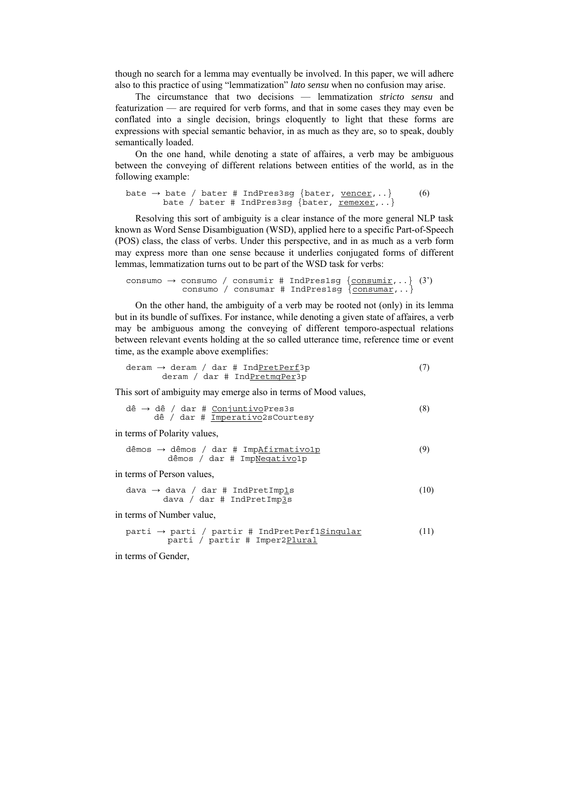though no search for a lemma may eventually be involved. In this paper, we will adhere also to this practice of using "lemmatization" *lato sensu* when no confusion may arise.

The circumstance that two decisions — lemmatization *stricto sensu* and featurization — are required for verb forms, and that in some cases they may even be conflated into a single decision, brings eloquently to light that these forms are expressions with special semantic behavior, in as much as they are, so to speak, doubly semantically loaded.

On the one hand, while denoting a state of affaires, a verb may be ambiguous between the conveying of different relations between entities of the world, as in the following example:

```
bate \rightarrow bate / bater # IndPres3sg {bater, <u>vencer</u>,..} (6)
bate / bater # IndPres3sg {bater, <u>remexer</u>,..}
```
Resolving this sort of ambiguity is a clear instance of the more general NLP task known as Word Sense Disambiguation (WSD), applied here to a specific Part-of-Speech (POS) class, the class of verbs. Under this perspective, and in as much as a verb form may express more than one sense because it underlies conjugated forms of different lemmas, lemmatization turns out to be part of the WSD task for verbs:

```
consumo \rightarrow consumo / consumir # IndPres1sq {consumir,..} (3)
              consumo / consumar # IndPres1sg \{ \frac{}{\text{consumar}} , .. \}
```
On the other hand, the ambiguity of a verb may be rooted not (only) in its lemma but in its bundle of suffixes. For instance, while denoting a given state of affaires, a verb may be ambiguous among the conveying of different temporo-aspectual relations between relevant events holding at the so called utterance time, reference time or event time, as the example above exemplifies:

$$
derman \rightarrow deram / dar # IndPretperf3p
$$
\n
$$
derman / dar # IndPretmgPer3p
$$
\n(7)

This sort of ambiguity may emerge also in terms of Mood values,

\n
$$
\text{dê} \rightarrow \text{dê} / \text{dar } # \text{ ConjuntivoPress3s
$$
\n  
\n $\text{dê} / \text{dar } # \text{ Imperativo2sCourtesy$ \n

in terms of Polarity values,

dêmos → dêmos / dar # ImpAfirmativo1p (9) dêmos / dar # ImpNegativo1p

in terms of Person values,

dava → dava / dar # IndPretImp1s (10) dava / dar # IndPretImp3s

in terms of Number value,

parti → parti / partir # IndPretPerf1Singular (11) parti / partir # Imper2Plural

in terms of Gender,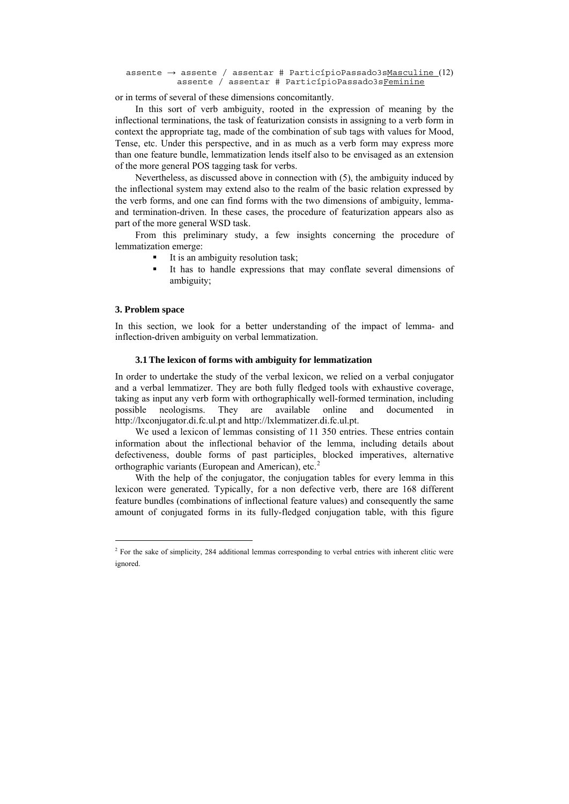```
assente \rightarrow assente / assentar # ParticípioPassado3sMasculine (12)
          assente / assentar # ParticípioPassado3sFeminine
```
or in terms of several of these dimensions concomitantly.

In this sort of verb ambiguity, rooted in the expression of meaning by the inflectional terminations, the task of featurization consists in assigning to a verb form in context the appropriate tag, made of the combination of sub tags with values for Mood, Tense, etc. Under this perspective, and in as much as a verb form may express more than one feature bundle, lemmatization lends itself also to be envisaged as an extension of the more general POS tagging task for verbs.

Nevertheless, as discussed above in connection with (5), the ambiguity induced by the inflectional system may extend also to the realm of the basic relation expressed by the verb forms, and one can find forms with the two dimensions of ambiguity, lemmaand termination-driven. In these cases, the procedure of featurization appears also as part of the more general WSD task.

From this preliminary study, a few insights concerning the procedure of lemmatization emerge:

- It is an ambiguity resolution task;
- It has to handle expressions that may conflate several dimensions of ambiguity;

#### **3. Problem space**

 $\overline{a}$ 

In this section, we look for a better understanding of the impact of lemma- and inflection-driven ambiguity on verbal lemmatization.

### **3.1 The lexicon of forms with ambiguity for lemmatization**

In order to undertake the study of the verbal lexicon, we relied on a verbal conjugator and a verbal lemmatizer. They are both fully fledged tools with exhaustive coverage, taking as input any verb form with orthographically well-formed termination, including possible neologisms. They are available online and documented http://lxconjugator.di.fc.ul.pt and http://lxlemmatizer.di.fc.ul.pt.

We used a lexicon of lemmas consisting of 11 350 entries. These entries contain information about the inflectional behavior of the lemma, including details about defectiveness, double forms of past participles, blocked imperatives, alternative orthographic variants (European and American), etc.<sup>[2](#page-4-0)</sup>

With the help of the conjugator, the conjugation tables for every lemma in this lexicon were generated. Typically, for a non defective verb, there are 168 different feature bundles (combinations of inflectional feature values) and consequently the same amount of conjugated forms in its fully-fledged conjugation table, with this figure

<span id="page-4-0"></span><sup>&</sup>lt;sup>2</sup> For the sake of simplicity, 284 additional lemmas corresponding to verbal entries with inherent clitic were ignored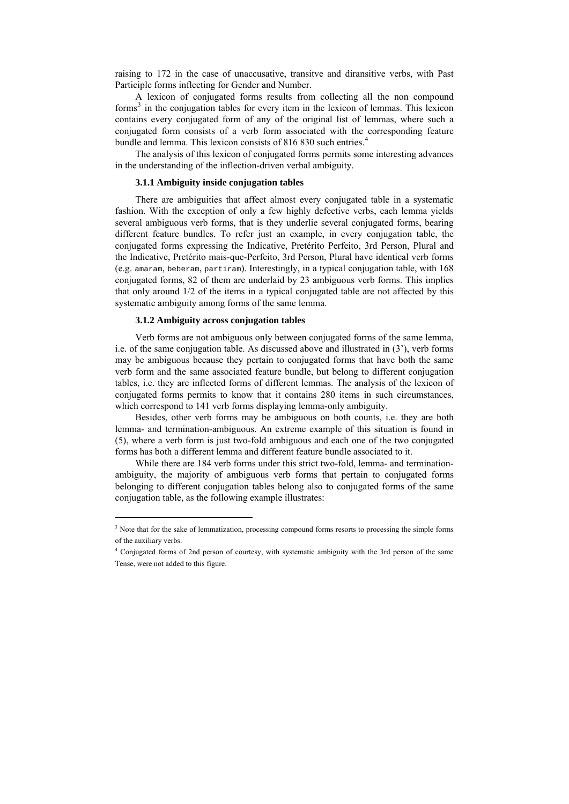raising to 172 in the case of unaccusative, transitve and diransitive verbs, with Past Participle forms inflecting for Gender and Number.

A lexicon of conjugated forms results from collecting all the non compound forms<sup>[3](#page-5-0)</sup> in the conjugation tables for every item in the lexicon of lemmas. This lexicon contains every conjugated form of any of the original list of lemmas, where such a conjugated form consists of a verb form associated with the corresponding feature bundle and lemma. This lexicon consists of 816 830 such entries.<sup>[4](#page-5-1)</sup>

The analysis of this lexicon of conjugated forms permits some interesting advances in the understanding of the inflection-driven verbal ambiguity.

### **3.1.1 Ambiguity inside conjugation tables**

There are ambiguities that affect almost every conjugated table in a systematic fashion. With the exception of only a few highly defective verbs, each lemma yields several ambiguous verb forms, that is they underlie several conjugated forms, bearing different feature bundles. To refer just an example, in every conjugation table, the conjugated forms expressing the Indicative, Pretérito Perfeito, 3rd Person, Plural and the Indicative, Pretérito mais-que-Perfeito, 3rd Person, Plural have identical verb forms (e.g. amaram, beberam, partiram). Interestingly, in a typical conjugation table, with 168 conjugated forms, 82 of them are underlaid by 23 ambiguous verb forms. This implies that only around 1/2 of the items in a typical conjugated table are not affected by this systematic ambiguity among forms of the same lemma.

### **3.1.2 Ambiguity across conjugation tables**

 $\overline{a}$ 

Verb forms are not ambiguous only between conjugated forms of the same lemma, i.e. of the same conjugation table. As discussed above and illustrated in (3'), verb forms may be ambiguous because they pertain to conjugated forms that have both the same verb form and the same associated feature bundle, but belong to different conjugation tables, i.e. they are inflected forms of different lemmas. The analysis of the lexicon of conjugated forms permits to know that it contains 280 items in such circumstances, which correspond to 141 verb forms displaying lemma-only ambiguity.

Besides, other verb forms may be ambiguous on both counts, i.e. they are both lemma- and termination-ambiguous. An extreme example of this situation is found in (5), where a verb form is just two-fold ambiguous and each one of the two conjugated forms has both a different lemma and different feature bundle associated to it.

While there are 184 verb forms under this strict two-fold, lemma- and terminationambiguity, the majority of ambiguous verb forms that pertain to conjugated forms belonging to different conjugation tables belong also to conjugated forms of the same conjugation table, as the following example illustrates:

<span id="page-5-0"></span><sup>&</sup>lt;sup>3</sup> Note that for the sake of lemmatization, processing compound forms resorts to processing the simple forms of the auxiliary verbs.

<span id="page-5-1"></span><sup>4</sup> Conjugated forms of 2nd person of courtesy, with systematic ambiguity with the 3rd person of the same Tense, were not added to this figure.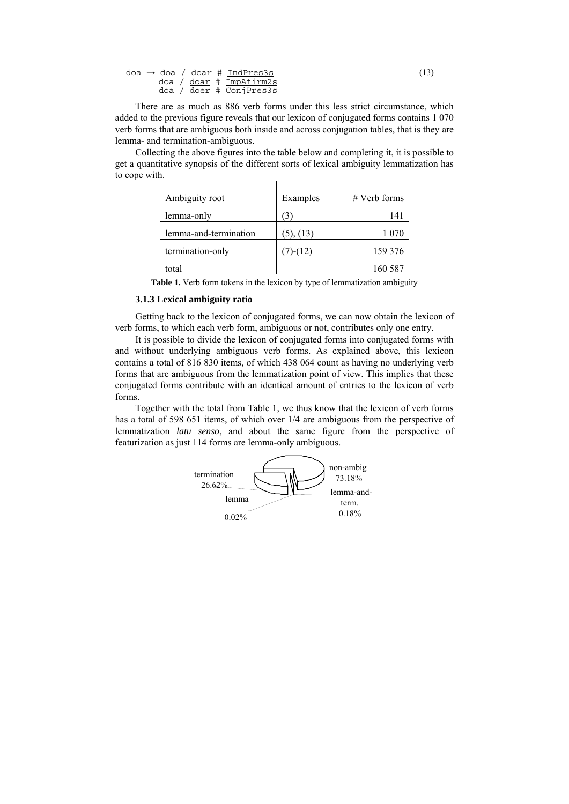|  | doa $\rightarrow$ doa / doar # IndPres3s | (13) |
|--|------------------------------------------|------|
|  | doa / doar # ImpAfirm2s                  |      |
|  | doa / <u>doer</u> # ConjPres3s           |      |

There are as much as 886 verb forms under this less strict circumstance, which added to the previous figure reveals that our lexicon of conjugated forms contains 1 070 verb forms that are ambiguous both inside and across conjugation tables, that is they are lemma- and termination-ambiguous.

Collecting the above figures into the table below and completing it, it is possible to get a quantitative synopsis of the different sorts of lexical ambiguity lemmatization has to cope with.  $\mathbf{I}$  $\mathbf{I}$ 

| Ambiguity root        | Examples  | $#$ Verb forms |
|-----------------------|-----------|----------------|
| lemma-only            | 3         | 141            |
| lemma-and-termination | (5), (13) | 1 070          |
| termination-only      | $1-(12)$  | 159 376        |
| total                 |           | 160 587        |

**Table 1.** Verb form tokens in the lexicon by type of lemmatization ambiguity

#### **3.1.3 Lexical ambiguity ratio**

Getting back to the lexicon of conjugated forms, we can now obtain the lexicon of verb forms, to which each verb form, ambiguous or not, contributes only one entry.

It is possible to divide the lexicon of conjugated forms into conjugated forms with and without underlying ambiguous verb forms. As explained above, this lexicon contains a total of 816 830 items, of which 438 064 count as having no underlying verb forms that are ambiguous from the lemmatization point of view. This implies that these conjugated forms contribute with an identical amount of entries to the lexicon of verb forms.

Together with the total from Table 1, we thus know that the lexicon of verb forms has a total of 598 651 items, of which over 1/4 are ambiguous from the perspective of lemmatization *latu senso*, and about the same figure from the perspective of featurization as just 114 forms are lemma-only ambiguous.

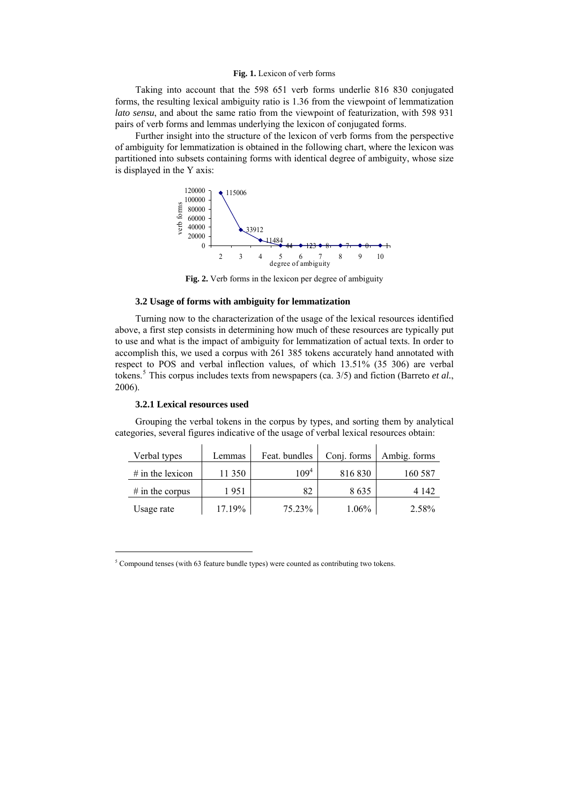#### **Fig. 1.** Lexicon of verb forms

Taking into account that the 598 651 verb forms underlie 816 830 conjugated forms, the resulting lexical ambiguity ratio is 1.36 from the viewpoint of lemmatization *lato sensu*, and about the same ratio from the viewpoint of featurization, with 598 931 pairs of verb forms and lemmas underlying the lexicon of conjugated forms.

Further insight into the structure of the lexicon of verb forms from the perspective of ambiguity for lemmatization is obtained in the following chart, where the lexicon was partitioned into subsets containing forms with identical degree of ambiguity, whose size is displayed in the Y axis:



**Fig. 2.** Verb forms in the lexicon per degree of ambiguity

#### **3.2 Usage of forms with ambiguity for lemmatization**

Turning now to the characterization of the usage of the lexical resources identified above, a first step consists in determining how much of these resources are typically put to use and what is the impact of ambiguity for lemmatization of actual texts. In order to accomplish this, we used a corpus with 261 385 tokens accurately hand annotated with respect to POS and verbal inflection values, of which 13.51% (35 306) are verbal tokens.[5](#page-7-0) This corpus includes texts from newspapers (ca. 3/5) and fiction (Barreto *et al.*, 2006).

#### **3.2.1 Lexical resources used**

 $\overline{a}$ 

Grouping the verbal tokens in the corpus by types, and sorting them by analytical categories, several figures indicative of the usage of verbal lexical resources obtain:

| Verbal types       | Lemmas | Feat. bundles | Conj. forms | Ambig. forms |
|--------------------|--------|---------------|-------------|--------------|
| $#$ in the lexicon | 11 350 | $109^{4}$     | 816 830     | 160 587      |
| $#$ in the corpus  | 1 951  | 82            | 8635        | 4 142        |
| Usage rate         | 17.19% | 75.23%        | $1.06\%$    | 2.58%        |

<span id="page-7-0"></span> $5$  Compound tenses (with 63 feature bundle types) were counted as contributing two tokens.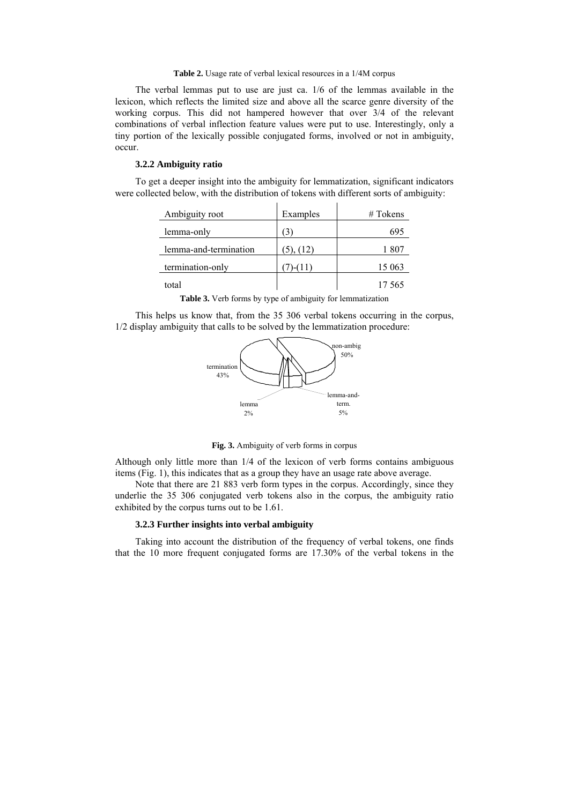**Table 2.** Usage rate of verbal lexical resources in a 1/4M corpus

The verbal lemmas put to use are just ca. 1/6 of the lemmas available in the lexicon, which reflects the limited size and above all the scarce genre diversity of the working corpus. This did not hampered however that over 3/4 of the relevant combinations of verbal inflection feature values were put to use. Interestingly, only a tiny portion of the lexically possible conjugated forms, involved or not in ambiguity, occur.

## **3.2.2 Ambiguity ratio**

To get a deeper insight into the ambiguity for lemmatization, significant indicators were collected below, with the distribution of tokens with different sorts of ambiguity:

| Ambiguity root        | Examples  | $#T$ okens |
|-----------------------|-----------|------------|
| lemma-only            | (3)       | 695        |
| lemma-and-termination | (5), (12) | 1 807      |
| termination-only      | $-(11)$   | 15 063     |
| total                 |           | 17.565     |

**Table 3.** Verb forms by type of ambiguity for lemmatization

This helps us know that, from the 35 306 verbal tokens occurring in the corpus, 1/2 display ambiguity that calls to be solved by the lemmatization procedure:



**Fig. 3.** Ambiguity of verb forms in corpus

Although only little more than 1/4 of the lexicon of verb forms contains ambiguous items (Fig. 1), this indicates that as a group they have an usage rate above average.

Note that there are 21 883 verb form types in the corpus. Accordingly, since they underlie the 35 306 conjugated verb tokens also in the corpus, the ambiguity ratio exhibited by the corpus turns out to be 1.61.

#### **3.2.3 Further insights into verbal ambiguity**

Taking into account the distribution of the frequency of verbal tokens, one finds that the 10 more frequent conjugated forms are 17.30% of the verbal tokens in the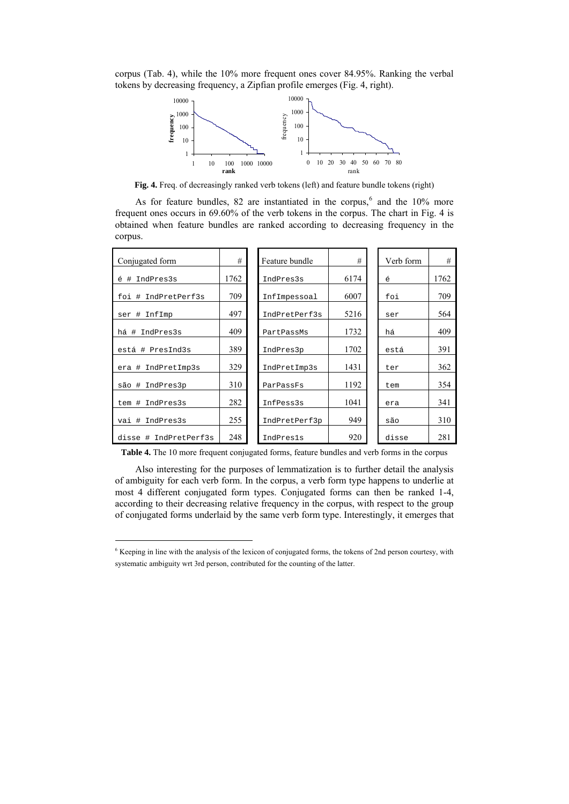corpus (Tab. 4), while the 10% more frequent ones cover 84.95%. Ranking the verbal tokens by decreasing frequency, a Zipfian profile emerges (Fig. 4, right).



**Fig. 4.** Freq. of decreasingly ranked verb tokens (left) and feature bundle tokens (right)

As for feature bundles, 82 are instantiated in the corpus, $6$  and the 10% more frequent ones occurs in 69.60% of the verb tokens in the corpus. The chart in Fig. 4 is obtained when feature bundles are ranked according to decreasing frequency in the corpus.

| Conjugated form           | #    | Feature bundle | #    | Verb form | #    |
|---------------------------|------|----------------|------|-----------|------|
| IndPres3s<br>é<br>#       | 1762 | IndPres3s      | 6174 | é         | 1762 |
| IndPretPerf3s<br>#<br>foi | 709  | InfImpessoal   | 6007 | foi       | 709  |
| InfImp<br>ser #           | 497  | IndPretPerf3s  | 5216 | ser       | 564  |
| IndPres3s<br>há<br>#      | 409  | PartPassMs     | 1732 | há        | 409  |
| está # PresInd3s          | 389  | IndPres3p      | 1702 | está      | 391  |
| IndPretImp3s<br>era #     | 329  | IndPretImp3s   | 1431 | ter       | 362  |
| são #<br>IndPres3p        | 310  | ParPassFs      | 1192 | tem       | 354  |
| IndPres3s<br>tem #        | 282  | InfPess3s      | 1041 | era       | 341  |
| IndPres3s<br>#<br>vai     | 255  | IndPretPerf3p  | 949  | são       | 310  |
| IndPretPerf3s<br>disse #  | 248  | IndPres1s      | 920  | disse     | 281  |

**Table 4.** The 10 more frequent conjugated forms, feature bundles and verb forms in the corpus

Also interesting for the purposes of lemmatization is to further detail the analysis of ambiguity for each verb form. In the corpus, a verb form type happens to underlie at most 4 different conjugated form types. Conjugated forms can then be ranked 1-4, according to their decreasing relative frequency in the corpus, with respect to the group of conjugated forms underlaid by the same verb form type. Interestingly, it emerges that

 $\overline{a}$ 

<span id="page-9-0"></span><sup>&</sup>lt;sup>6</sup> Keeping in line with the analysis of the lexicon of conjugated forms, the tokens of 2nd person courtesy, with systematic ambiguity wrt 3rd person, contributed for the counting of the latter.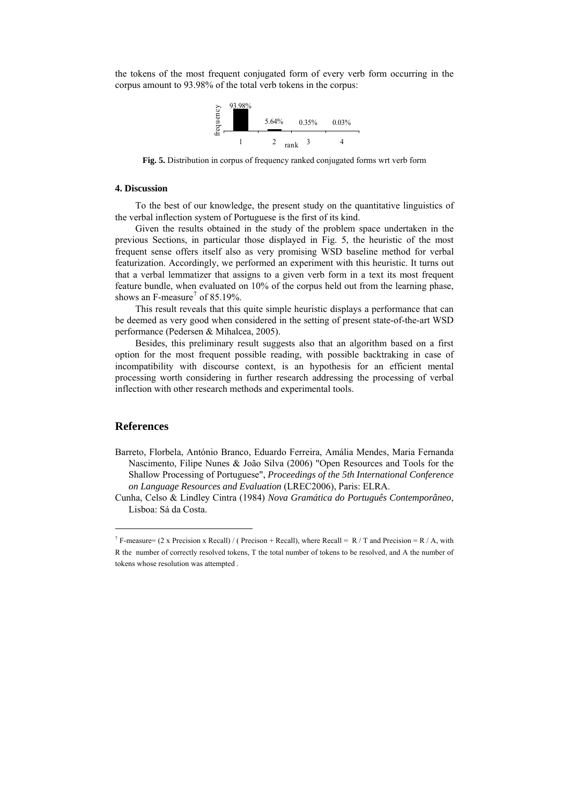the tokens of the most frequent conjugated form of every verb form occurring in the corpus amount to 93.98% of the total verb tokens in the corpus:



**Fig. 5.** Distribution in corpus of frequency ranked conjugated forms wrt verb form

### **4. Discussion**

To the best of our knowledge, the present study on the quantitative linguistics of the verbal inflection system of Portuguese is the first of its kind.

Given the results obtained in the study of the problem space undertaken in the previous Sections, in particular those displayed in Fig. 5, the heuristic of the most frequent sense offers itself also as very promising WSD baseline method for verbal featurization. Accordingly, we performed an experiment with this heuristic. It turns out that a verbal lemmatizer that assigns to a given verb form in a text its most frequent feature bundle, when evaluated on 10% of the corpus held out from the learning phase, shows an F-measure<sup>[7](#page-10-0)</sup> of 85.19%.

This result reveals that this quite simple heuristic displays a performance that can be deemed as very good when considered in the setting of present state-of-the-art WSD performance (Pedersen & Mihalcea, 2005).

Besides, this preliminary result suggests also that an algorithm based on a first option for the most frequent possible reading, with possible backtraking in case of incompatibility with discourse context, is an hypothesis for an efficient mental processing worth considering in further research addressing the processing of verbal inflection with other research methods and experimental tools.

## **References**

 $\overline{a}$ 

Barreto, Florbela, António Branco, Eduardo Ferreira, Amália Mendes, Maria Fernanda Nascimento, Filipe Nunes & João Silva (2006) "Open Resources and Tools for the Shallow Processing of Portuguese", *Proceedings of the 5th International Conference on Language Resources and Evaluation* (LREC2006), Paris: ELRA.

Cunha, Celso & Lindley Cintra (1984) *Nova Gramática do Português Contemporâneo*, Lisboa: Sá da Costa.

<span id="page-10-0"></span><sup>&</sup>lt;sup>7</sup> F-measure= (2 x Precision x Recall) / ( Precison + Recall), where Recall = R / T and Precision = R / A, with R the number of correctly resolved tokens, T the total number of tokens to be resolved, and A the number of tokens whose resolution was attempted .